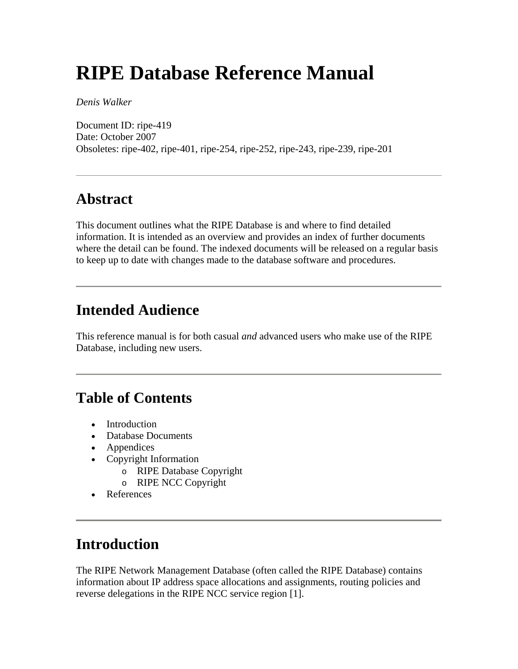# **RIPE Database Reference Manual**

*Denis Walker* 

Document ID: ripe-419 Date: October 2007 Obsoletes: ripe-402, ripe-401, ripe-254, ripe-252, ripe-243, ripe-239, ripe-201

### **Abstract**

This document outlines what the RIPE Database is and where to find detailed information. It is intended as an overview and provides an index of further documents where the detail can be found. The indexed documents will be released on a regular basis to keep up to date with changes made to the database software and procedures.

## **Intended Audience**

This reference manual is for both casual *and* advanced users who make use of the RIPE Database, including new users.

### **Table of Contents**

- Introduction
- Database Documents
- Appendices
- Copyright Information
	- o RIPE Database Copyright
	- o RIPE NCC Copyright
- References

## **Introduction**

The RIPE Network Management Database (often called the RIPE Database) contains information about IP address space allocations and assignments, routing policies and reverse delegations in the RIPE NCC service region [1].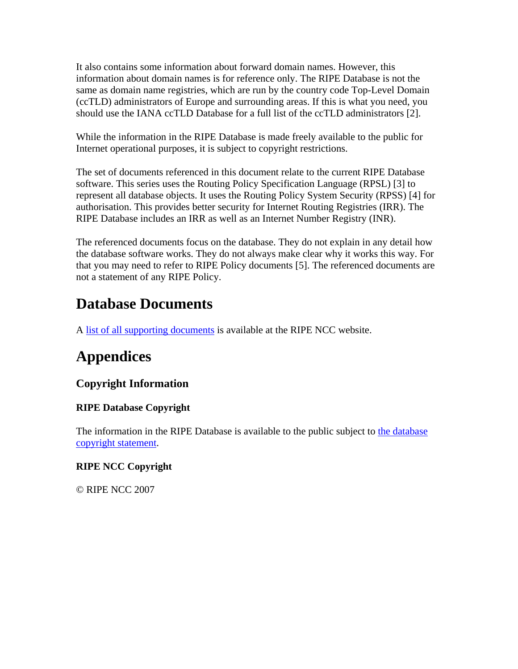It also contains some information about forward domain names. However, this information about domain names is for reference only. The RIPE Database is not the same as domain name registries, which are run by the country code Top-Level Domain (ccTLD) administrators of Europe and surrounding areas. If this is what you need, you should use the IANA ccTLD Database for a full list of the ccTLD administrators [2].

While the information in the RIPE Database is made freely available to the public for Internet operational purposes, it is subject to copyright restrictions.

The set of documents referenced in this document relate to the current RIPE Database software. This series uses the Routing Policy Specification Language (RPSL) [3] to represent all database objects. It uses the Routing Policy System Security (RPSS) [4] for authorisation. This provides better security for Internet Routing Registries (IRR). The RIPE Database includes an IRR as well as an Internet Number Registry (INR).

The referenced documents focus on the database. They do not explain in any detail how the database software works. They do not always make clear why it works this way. For that you may need to refer to RIPE Policy documents [5]. The referenced documents are not a statement of any RIPE Policy.

## **Database Documents**

A [list of all supporting documents](http://www.ripe.net/db/docs.html) is available at the RIPE NCC website.

## **Appendices**

### **Copyright Information**

#### **RIPE Database Copyright**

The information in the RIPE Database is available to the public subject to the database [copyright statement.](http://www.ripe.net/db/copyright.html)

#### **RIPE NCC Copyright**

© RIPE NCC 2007